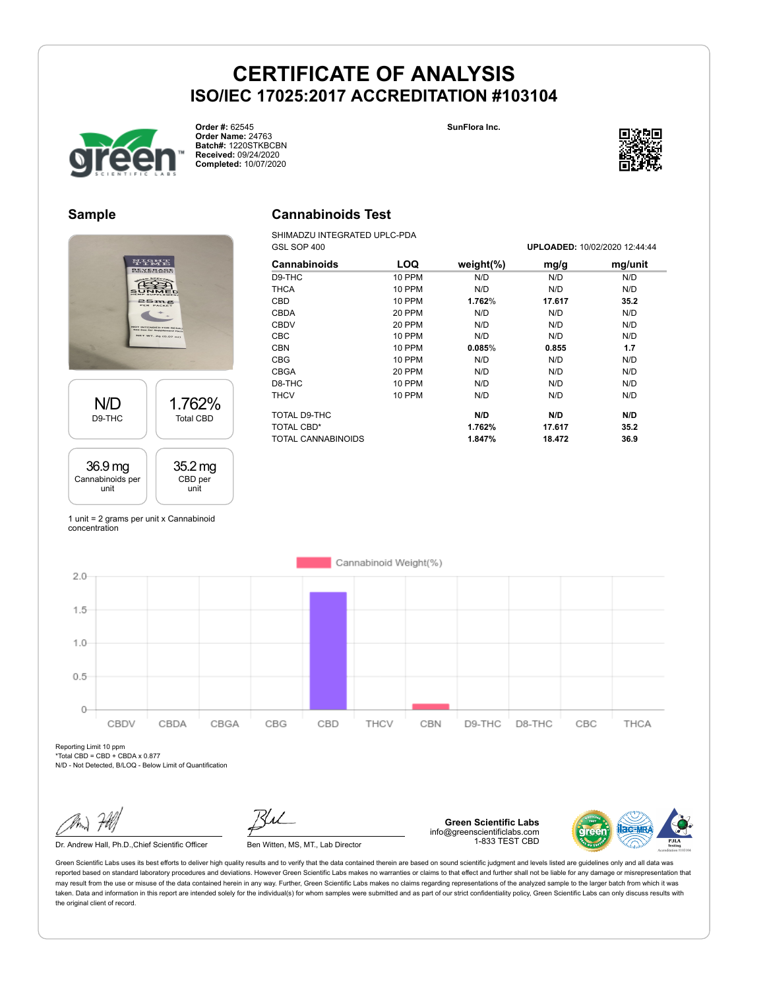

**Order #:** 62545 **Order Name:** 24763 **Batch#:** 1220STKBCBN **Received:** 09/24/2020 **Completed:** 10/07/2020

**SunFlora Inc.**



#### **Sample**



### **Cannabinoids Test**

SHIMADZU INTEGRATED UPLC-PDA GSL SOP 400 **UPLOADED:** 10/02/2020 12:44:44

| OOL OUF <del>4</del> 00 |               |               |        | UFLOADED. IV/VZ/ZVZV IZ.44.44 |
|-------------------------|---------------|---------------|--------|-------------------------------|
| <b>Cannabinoids</b>     | LOQ           | weight $(\%)$ | mg/g   | mg/unit                       |
| D9-THC                  | 10 PPM        | N/D           | N/D    | N/D                           |
| <b>THCA</b>             | <b>10 PPM</b> | N/D           | N/D    | N/D                           |
| CBD                     | 10 PPM        | 1.762%        | 17.617 | 35.2                          |
| <b>CBDA</b>             | 20 PPM        | N/D           | N/D    | N/D                           |
| <b>CBDV</b>             | 20 PPM        | N/D           | N/D    | N/D                           |
| CBC                     | <b>10 PPM</b> | N/D           | N/D    | N/D                           |
| <b>CBN</b>              | <b>10 PPM</b> | 0.085%        | 0.855  | 1.7                           |
| <b>CBG</b>              | 10 PPM        | N/D           | N/D    | N/D                           |
| <b>CBGA</b>             | 20 PPM        | N/D           | N/D    | N/D                           |
| D8-THC                  | <b>10 PPM</b> | N/D           | N/D    | N/D                           |
| <b>THCV</b>             | 10 PPM        | N/D           | N/D    | N/D                           |
| TOTAL D9-THC            |               | N/D           | N/D    | N/D                           |
| TOTAL CBD*              |               | 1.762%        | 17.617 | 35.2                          |
| TOTAL CANNABINOIDS      |               | 1.847%        | 18.472 | 36.9                          |
|                         |               |               |        |                               |

1 unit = 2 grams per unit x Cannabinoid concentration



Reporting Limit 10 ppm \*Total CBD = CBD + CBDA x 0.877

N/D - Not Detected, B/LOQ - Below Limit of Quantification

Dr. Andrew Hall, Ph.D., Chief Scientific Officer Ben Witten, MS, MT., Lab Director

**Green Scientific Labs** info@greenscientificlabs.com 1-833 TEST CBD

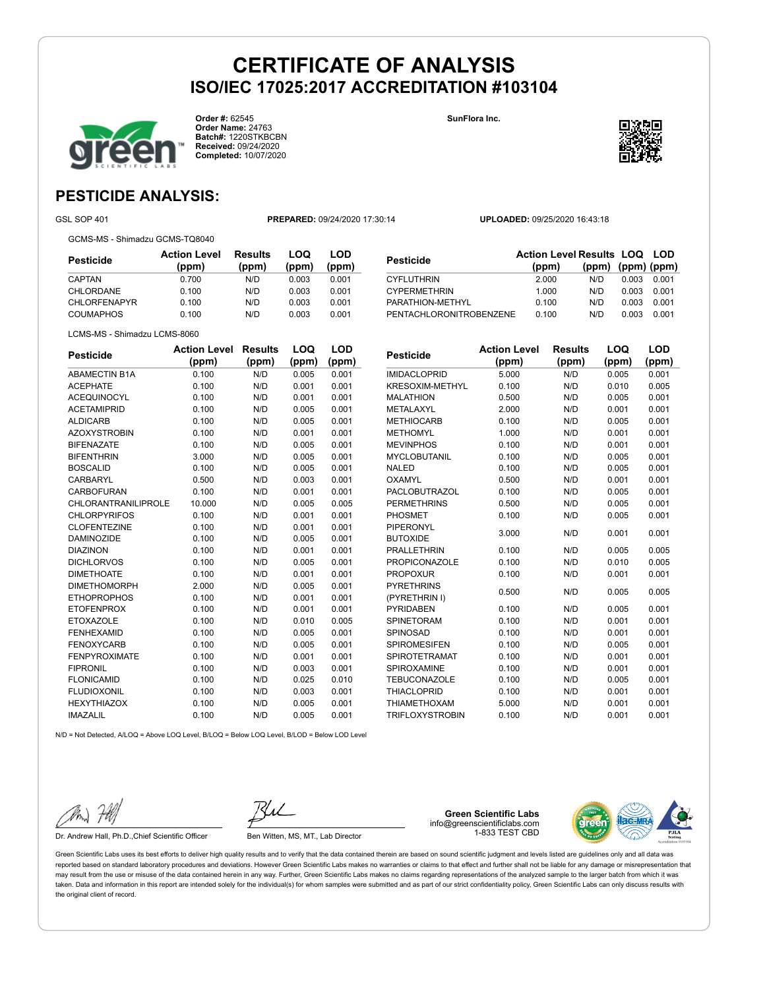**SunFlora Inc.**



**Order #:** 62545 **Order Name:** 24763 **Batch#:** 1220STKBCBN **Received:** 09/24/2020 **Completed:** 10/07/2020



### **PESTICIDE ANALYSIS:**

GSL SOP 401 **PREPARED:** 09/24/2020 17:30:14 **UPLOADED:** 09/25/2020 16:43:18

GCMS-MS - Shimadzu GCMS-TQ8040

| Pesticide           | <b>Action Level</b><br>(ppm) | Results<br>(ppm) | LOQ<br>(ppm) | LOD<br>(ppm) |
|---------------------|------------------------------|------------------|--------------|--------------|
| CAPTAN              | 0.700                        | N/D              | 0.003        | 0.001        |
| CHLORDANE           | 0.100                        | N/D              | 0.003        | 0.001        |
| <b>CHLORFENAPYR</b> | 0.100                        | N/D              | 0.003        | 0.001        |
| <b>COUMAPHOS</b>    | 0.100                        | N/D              | 0.003        | 0.001        |

| Pesticide               | <b>Action Level Results LOQ LOD</b><br>(ppm) | (ppm) (ppm) (ppm) |       |       |
|-------------------------|----------------------------------------------|-------------------|-------|-------|
| CYFLUTHRIN              | 2.000                                        | N/D               | 0.003 | 0.001 |
| <b>CYPERMETHRIN</b>     | 1.000                                        | N/D               | 0.003 | 0.001 |
| PARATHION-METHYL        | 0.100                                        | N/D               | 0.003 | 0.001 |
| PENTACHLORONITROBENZENE | 0.100                                        | N/D               | 0.003 | 0.001 |

LCMS-MS - Shimadzu LCMS-8060

| <b>Pesticide</b>           | <b>Action Level</b> | <b>Results</b> | LOQ   | LOD   |
|----------------------------|---------------------|----------------|-------|-------|
|                            | (ppm)               | (ppm)          | (ppm) | (ppm) |
| <b>ABAMECTIN B1A</b>       | 0.100               | N/D            | 0.005 | 0.001 |
| <b>ACEPHATE</b>            | 0.100               | N/D            | 0.001 | 0.001 |
| <b>ACEQUINOCYL</b>         | 0.100               | N/D            | 0.001 | 0.001 |
| <b>ACETAMIPRID</b>         | 0.100               | N/D            | 0.005 | 0.001 |
| <b>ALDICARB</b>            | 0.100               | N/D            | 0.005 | 0.001 |
| <b>AZOXYSTROBIN</b>        | 0.100               | N/D            | 0.001 | 0.001 |
| <b>BIFENAZATE</b>          | 0.100               | N/D            | 0.005 | 0.001 |
| <b>BIFENTHRIN</b>          | 3.000               | N/D            | 0.005 | 0.001 |
| <b>BOSCALID</b>            | 0.100               | N/D            | 0.005 | 0.001 |
| CARBARYL                   | 0.500               | N/D            | 0.003 | 0.001 |
| CARBOFURAN                 | 0.100               | N/D            | 0.001 | 0.001 |
| <b>CHLORANTRANILIPROLE</b> | 10.000              | N/D            | 0.005 | 0.005 |
| <b>CHLORPYRIFOS</b>        | 0.100               | N/D            | 0.001 | 0.001 |
| <b>CLOFENTEZINE</b>        | 0.100               | N/D            | 0.001 | 0.001 |
| <b>DAMINOZIDE</b>          | 0.100               | N/D            | 0.005 | 0.001 |
| <b>DIAZINON</b>            | 0.100               | N/D            | 0.001 | 0.001 |
| <b>DICHLORVOS</b>          | 0.100               | N/D            | 0.005 | 0.001 |
| <b>DIMETHOATE</b>          | 0.100               | N/D            | 0.001 | 0.001 |
| <b>DIMETHOMORPH</b>        | 2.000               | N/D            | 0.005 | 0.001 |
| <b>ETHOPROPHOS</b>         | 0.100               | N/D            | 0.001 | 0.001 |
| <b>ETOFENPROX</b>          | 0.100               | N/D            | 0.001 | 0.001 |
| <b>ETOXAZOLE</b>           | 0.100               | N/D            | 0.010 | 0.005 |
| <b>FENHEXAMID</b>          | 0.100               | N/D            | 0.005 | 0.001 |
| <b>FENOXYCARB</b>          | 0.100               | N/D            | 0.005 | 0.001 |
| <b>FENPYROXIMATE</b>       | 0.100               | N/D            | 0.001 | 0.001 |
| <b>FIPRONIL</b>            | 0.100               | N/D            | 0.003 | 0.001 |
| <b>FLONICAMID</b>          | 0.100               | N/D            | 0.025 | 0.010 |
| <b>FLUDIOXONIL</b>         | 0.100               | N/D            | 0.003 | 0.001 |
| <b>HEXYTHIAZOX</b>         | 0.100               | N/D            | 0.005 | 0.001 |
| <b>IMAZALIL</b>            | 0.100               | N/D            | 0.005 | 0.001 |

| <b>Pesticide</b>       | <b>Action Level</b> | <b>Results</b> | LOQ   | LOD   |
|------------------------|---------------------|----------------|-------|-------|
|                        | (ppm)               | (ppm)          | (ppm) | (ppm) |
| <b>IMIDACLOPRID</b>    | 5.000               | N/D            | 0.005 | 0.001 |
| <b>KRESOXIM-METHYL</b> | 0.100               | N/D            | 0.010 | 0.005 |
| <b>MALATHION</b>       | 0.500               | N/D            | 0.005 | 0.001 |
| METALAXYL              | 2.000               | N/D            | 0.001 | 0.001 |
| <b>METHIOCARB</b>      | 0.100               | N/D            | 0.005 | 0.001 |
| <b>METHOMYL</b>        | 1.000               | N/D            | 0.001 | 0.001 |
| <b>MEVINPHOS</b>       | 0.100               | N/D            | 0.001 | 0.001 |
| <b>MYCLOBUTANIL</b>    | 0.100               | N/D            | 0.005 | 0.001 |
| <b>NALED</b>           | 0.100               | N/D            | 0.005 | 0.001 |
| <b>OXAMYL</b>          | 0.500               | N/D            | 0.001 | 0.001 |
| PACLOBUTRAZOL          | 0.100               | N/D            | 0.005 | 0.001 |
| <b>PERMETHRINS</b>     | 0.500               | N/D            | 0.005 | 0.001 |
| PHOSMET                | 0.100               | N/D            | 0.005 | 0.001 |
| PIPERONYL              | 3.000               | N/D            | 0.001 | 0.001 |
| <b>BUTOXIDE</b>        |                     |                |       |       |
| <b>PRALLETHRIN</b>     | 0.100               | N/D            | 0.005 | 0.005 |
| <b>PROPICONAZOLE</b>   | 0.100               | N/D            | 0.010 | 0.005 |
| <b>PROPOXUR</b>        | 0.100               | N/D            | 0.001 | 0.001 |
| <b>PYRETHRINS</b>      | 0.500               | N/D            | 0.005 | 0.005 |
| (PYRETHRIN I)          |                     |                |       |       |
| <b>PYRIDABEN</b>       | 0.100               | N/D            | 0.005 | 0.001 |
| <b>SPINETORAM</b>      | 0.100               | N/D            | 0.001 | 0.001 |
| <b>SPINOSAD</b>        | 0.100               | N/D            | 0.001 | 0.001 |
| <b>SPIROMESIFEN</b>    | 0.100               | N/D            | 0.005 | 0.001 |
| <b>SPIROTETRAMAT</b>   | 0.100               | N/D            | 0.001 | 0.001 |
| SPIROXAMINE            | 0.100               | N/D            | 0.001 | 0.001 |
| <b>TEBUCONAZOLE</b>    | 0.100               | N/D            | 0.005 | 0.001 |
| <b>THIACLOPRID</b>     | 0.100               | N/D            | 0.001 | 0.001 |
| <b>THIAMETHOXAM</b>    | 5.000               | N/D            | 0.001 | 0.001 |
| <b>TRIFLOXYSTROBIN</b> | 0.100               | N/D            | 0.001 | 0.001 |

N/D = Not Detected, A/LOQ = Above LOQ Level, B/LOQ = Below LOQ Level, B/LOD = Below LOD Level

Dr. Andrew Hall, Ph.D., Chief Scientific Officer Ben Witten, MS, MT., Lab Director

**Green Scientific Labs** info@greenscientificlabs.com 1-833 TEST CBD

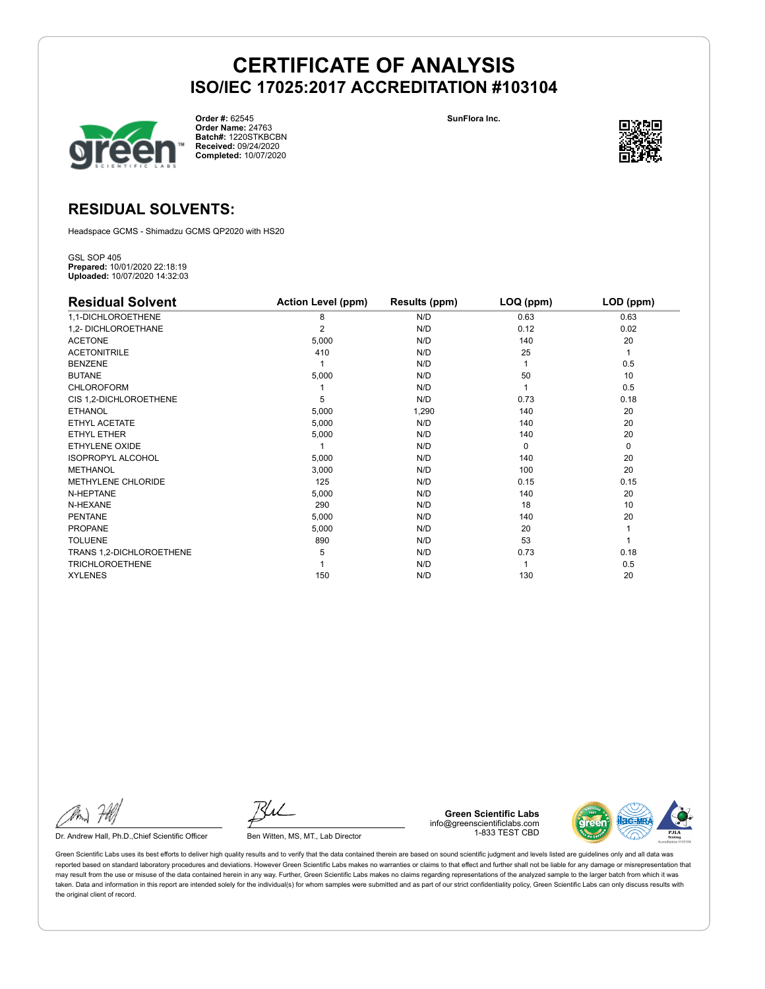

**Order #:** 62545 **Order Name:** 24763 **Batch#:** 1220STKBCBN **Received:** 09/24/2020 **Completed:** 10/07/2020

**SunFlora Inc.**



#### **RESIDUAL SOLVENTS:**

Headspace GCMS - Shimadzu GCMS QP2020 with HS20

GSL SOP 405 **Prepared:** 10/01/2020 22:18:19 **Uploaded:** 10/07/2020 14:32:03

| <b>Residual Solvent</b>   | <b>Action Level (ppm)</b> | Results (ppm) | LOQ (ppm) | LOD (ppm) |
|---------------------------|---------------------------|---------------|-----------|-----------|
| 1,1-DICHLOROETHENE        | 8                         | N/D           | 0.63      | 0.63      |
| 1,2- DICHLOROETHANE       | $\overline{2}$            | N/D           | 0.12      | 0.02      |
| <b>ACETONE</b>            | 5,000                     | N/D           | 140       | 20        |
| <b>ACETONITRILE</b>       | 410                       | N/D           | 25        | 1         |
| <b>BENZENE</b>            |                           | N/D           |           | 0.5       |
| <b>BUTANE</b>             | 5,000                     | N/D           | 50        | 10        |
| <b>CHLOROFORM</b>         |                           | N/D           |           | 0.5       |
| CIS 1,2-DICHLOROETHENE    | 5                         | N/D           | 0.73      | 0.18      |
| <b>ETHANOL</b>            | 5,000                     | 1,290         | 140       | 20        |
| ETHYL ACETATE             | 5,000                     | N/D           | 140       | 20        |
| <b>ETHYL ETHER</b>        | 5,000                     | N/D           | 140       | 20        |
| ETHYLENE OXIDE            |                           | N/D           | $\Omega$  | 0         |
| <b>ISOPROPYL ALCOHOL</b>  | 5,000                     | N/D           | 140       | 20        |
| <b>METHANOL</b>           | 3,000                     | N/D           | 100       | 20        |
| <b>METHYLENE CHLORIDE</b> | 125                       | N/D           | 0.15      | 0.15      |
| N-HEPTANE                 | 5,000                     | N/D           | 140       | 20        |
| N-HEXANE                  | 290                       | N/D           | 18        | 10        |
| <b>PENTANE</b>            | 5,000                     | N/D           | 140       | 20        |
| <b>PROPANE</b>            | 5,000                     | N/D           | 20        |           |
| <b>TOLUENE</b>            | 890                       | N/D           | 53        |           |
| TRANS 1,2-DICHLOROETHENE  | 5                         | N/D           | 0.73      | 0.18      |
| <b>TRICHLOROETHENE</b>    |                           | N/D           |           | 0.5       |
| <b>XYLENES</b>            | 150                       | N/D           | 130       | 20        |

Dr. Andrew Hall, Ph.D., Chief Scientific Officer Ben Witten, MS, MT., Lab Director

**Green Scientific Labs** info@greenscientificlabs.com 1-833 TEST CBD

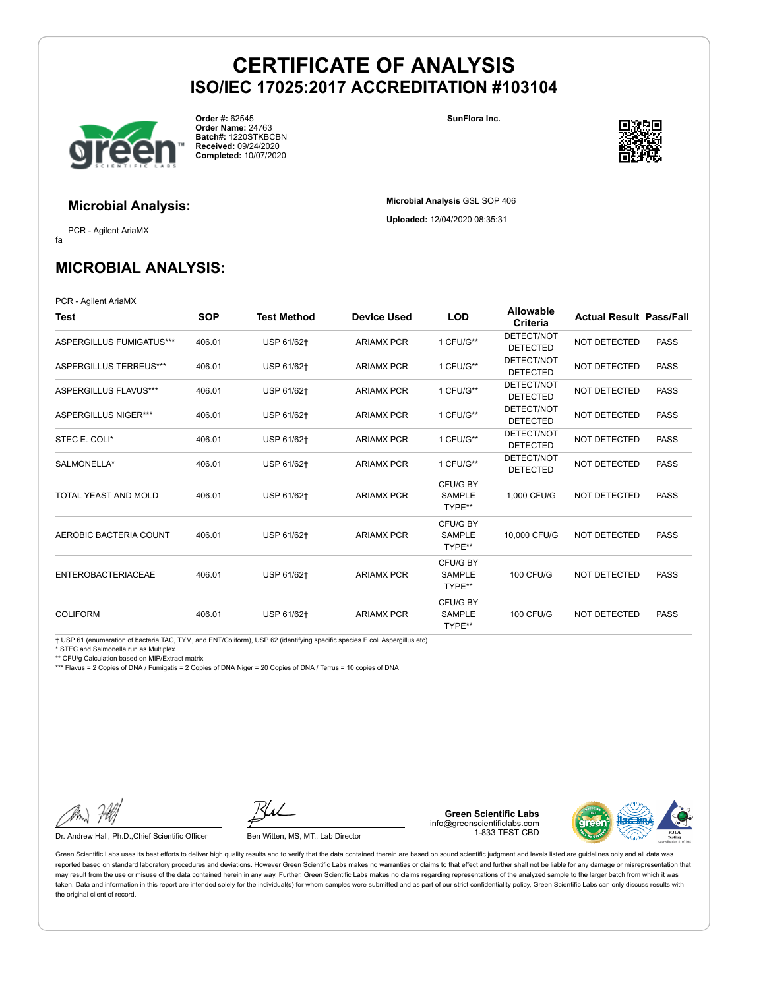

**Order #:** 62545 **Order Name:** 24763 **Batch#:** 1220STKBCBN **Received:** 09/24/2020 **Completed:** 10/07/2020

**SunFlora Inc.**

**Microbial Analysis** GSL SOP 406 **Uploaded:** 12/04/2020 08:35:31



**Microbial Analysis:**

fa PCR - Agilent AriaMX

### **MICROBIAL ANALYSIS:**

PCR - Agilent AriaMX

| Test                        | <b>SOP</b> | Test Method | <b>Device Used</b> | <b>LOD</b>                          | <b>Allowable</b><br>Criteria  | <b>Actual Result Pass/Fail</b> |             |
|-----------------------------|------------|-------------|--------------------|-------------------------------------|-------------------------------|--------------------------------|-------------|
| ASPERGILLUS FUMIGATUS***    | 406.01     | USP 61/62+  | <b>ARIAMX PCR</b>  | 1 CFU/G**                           | DETECT/NOT<br><b>DETECTED</b> | <b>NOT DETECTED</b>            | <b>PASS</b> |
| ASPERGILLUS TERREUS***      | 406.01     | USP 61/62+  | <b>ARIAMX PCR</b>  | 1 CFU/G**                           | DETECT/NOT<br><b>DETECTED</b> | <b>NOT DETECTED</b>            | <b>PASS</b> |
| ASPERGILLUS FLAVUS***       | 406.01     | USP 61/62+  | <b>ARIAMX PCR</b>  | 1 CFU/G**                           | DETECT/NOT<br><b>DETECTED</b> | <b>NOT DETECTED</b>            | <b>PASS</b> |
| <b>ASPERGILLUS NIGER***</b> | 406.01     | USP 61/62+  | <b>ARIAMX PCR</b>  | 1 CFU/G**                           | DETECT/NOT<br><b>DETECTED</b> | <b>NOT DETECTED</b>            | <b>PASS</b> |
| STEC E. COLI*               | 406.01     | USP 61/62+  | <b>ARIAMX PCR</b>  | 1 CFU/G**                           | DETECT/NOT<br><b>DETECTED</b> | NOT DETECTED                   | <b>PASS</b> |
| SALMONELLA*                 | 406.01     | USP 61/62+  | <b>ARIAMX PCR</b>  | 1 CFU/G**                           | DETECT/NOT<br><b>DETECTED</b> | <b>NOT DETECTED</b>            | <b>PASS</b> |
| TOTAL YEAST AND MOLD        | 406.01     | USP 61/62+  | <b>ARIAMX PCR</b>  | CFU/G BY<br><b>SAMPLE</b><br>TYPE** | 1.000 CFU/G                   | <b>NOT DETECTED</b>            | <b>PASS</b> |
| AEROBIC BACTERIA COUNT      | 406.01     | USP 61/62+  | <b>ARIAMX PCR</b>  | CFU/G BY<br><b>SAMPLE</b><br>TYPE** | 10,000 CFU/G                  | <b>NOT DETECTED</b>            | <b>PASS</b> |
| <b>ENTEROBACTERIACEAE</b>   | 406.01     | USP 61/62+  | <b>ARIAMX PCR</b>  | CFU/G BY<br>SAMPLE<br>TYPE**        | <b>100 CFU/G</b>              | <b>NOT DETECTED</b>            | <b>PASS</b> |
| <b>COLIFORM</b>             | 406.01     | USP 61/62+  | <b>ARIAMX PCR</b>  | CFU/G BY<br><b>SAMPLE</b><br>TYPE** | <b>100 CFU/G</b>              | <b>NOT DETECTED</b>            | <b>PASS</b> |

† USP 61 (enumeration of bacteria TAC, TYM, and ENT/Coliform), USP 62 (identifying specific species E.coli Aspergillus etc)

\* STEC and Salmonella run as Multiplex

\*\* CFU/g Calculation based on MIP/Extract matrix

\*\*\* Flavus = 2 Copies of DNA / Fumigatis = 2 Copies of DNA Niger = 20 Copies of DNA / Terrus = 10 copies of DNA

Dr. Andrew Hall, Ph.D., Chief Scientific Officer Ben Witten, MS, MT., Lab Director

**Green Scientific Labs** info@greenscientificlabs.com 1-833 TEST CBD